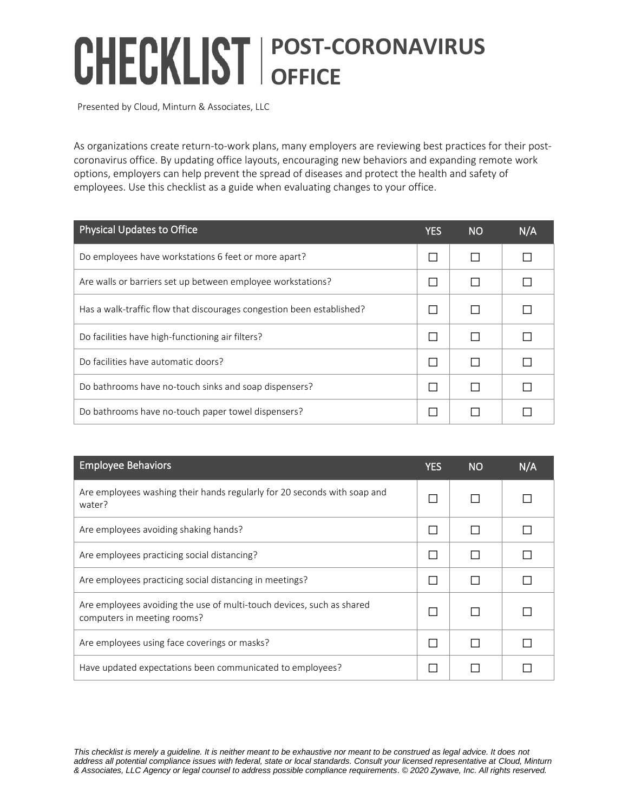## **POST-CORONAVIRUS OFFICE**

Presented by Cloud, Minturn & Associates, LLC

As organizations create return-to-work plans, many employers are reviewing best practices for their postcoronavirus office. By updating office layouts, encouraging new behaviors and expanding remote work options, employers can help prevent the spread of diseases and protect the health and safety of employees. Use this checklist as a guide when evaluating changes to your office.

| <b>Physical Updates to Office</b>                                     | YES | <b>NO</b> | N/A |
|-----------------------------------------------------------------------|-----|-----------|-----|
| Do employees have workstations 6 feet or more apart?                  |     |           |     |
| Are walls or barriers set up between employee workstations?           |     |           |     |
| Has a walk-traffic flow that discourages congestion been established? |     |           |     |
| Do facilities have high-functioning air filters?                      |     |           |     |
| Do facilities have automatic doors?                                   |     |           |     |
| Do bathrooms have no-touch sinks and soap dispensers?                 |     |           |     |
| Do bathrooms have no-touch paper towel dispensers?                    |     |           |     |

| Employee Behaviors                                                                                   | YES          | <b>NO</b> | N/A |
|------------------------------------------------------------------------------------------------------|--------------|-----------|-----|
| Are employees washing their hands regularly for 20 seconds with soap and<br>water?                   |              |           |     |
| Are employees avoiding shaking hands?                                                                | П            | П         |     |
| Are employees practicing social distancing?                                                          | $\Box$       | П         |     |
| Are employees practicing social distancing in meetings?                                              | $\mathbf{I}$ | П         |     |
| Are employees avoiding the use of multi-touch devices, such as shared<br>computers in meeting rooms? | $\Box$       |           |     |
| Are employees using face coverings or masks?                                                         |              |           |     |
| Have updated expectations been communicated to employees?                                            |              |           |     |

*This checklist is merely a guideline. It is neither meant to be exhaustive nor meant to be construed as legal advice. It does not address all potential compliance issues with federal, state or local standards. Consult your licensed representative at Cloud, Minturn & Associates, LLC Agency or legal counsel to address possible compliance requirements*. *© 2020 Zywave, Inc. All rights reserved.*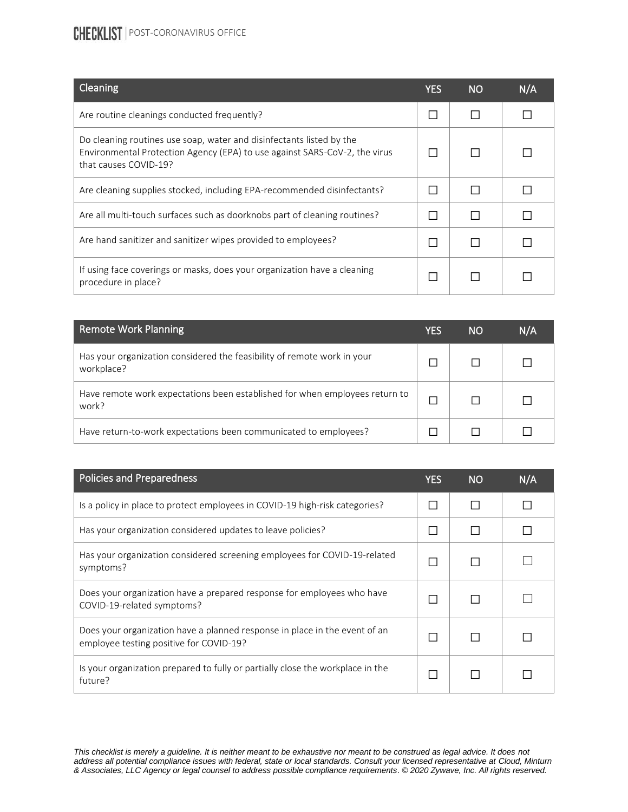## **CHECKLIST** | POST-CORONAVIRUS OFFICE

| Cleaning                                                                                                                                                                    | YES | <b>NO</b> | N/A |
|-----------------------------------------------------------------------------------------------------------------------------------------------------------------------------|-----|-----------|-----|
| Are routine cleanings conducted frequently?                                                                                                                                 |     |           |     |
| Do cleaning routines use soap, water and disinfectants listed by the<br>Environmental Protection Agency (EPA) to use against SARS-CoV-2, the virus<br>that causes COVID-19? |     |           |     |
| Are cleaning supplies stocked, including EPA-recommended disinfectants?                                                                                                     |     |           |     |
| Are all multi-touch surfaces such as doorknobs part of cleaning routines?                                                                                                   |     |           |     |
| Are hand sanitizer and sanitizer wipes provided to employees?                                                                                                               |     |           |     |
| If using face coverings or masks, does your organization have a cleaning<br>procedure in place?                                                                             |     |           |     |

| <b>Remote Work Planning</b>                                                           | YES | 'NO | N/A |
|---------------------------------------------------------------------------------------|-----|-----|-----|
| Has your organization considered the feasibility of remote work in your<br>workplace? |     |     |     |
| Have remote work expectations been established for when employees return to<br>work?  |     |     |     |
| Have return-to-work expectations been communicated to employees?                      |     |     |     |

| <b>Policies and Preparedness</b>                                                                                      | YES | <b>NO</b> | N/A |
|-----------------------------------------------------------------------------------------------------------------------|-----|-----------|-----|
| Is a policy in place to protect employees in COVID-19 high-risk categories?                                           |     |           |     |
| Has your organization considered updates to leave policies?                                                           |     |           |     |
| Has your organization considered screening employees for COVID-19-related<br>symptoms?                                |     |           |     |
| Does your organization have a prepared response for employees who have<br>COVID-19-related symptoms?                  |     |           |     |
| Does your organization have a planned response in place in the event of an<br>employee testing positive for COVID-19? |     |           |     |
| Is your organization prepared to fully or partially close the workplace in the<br>future?                             |     |           |     |